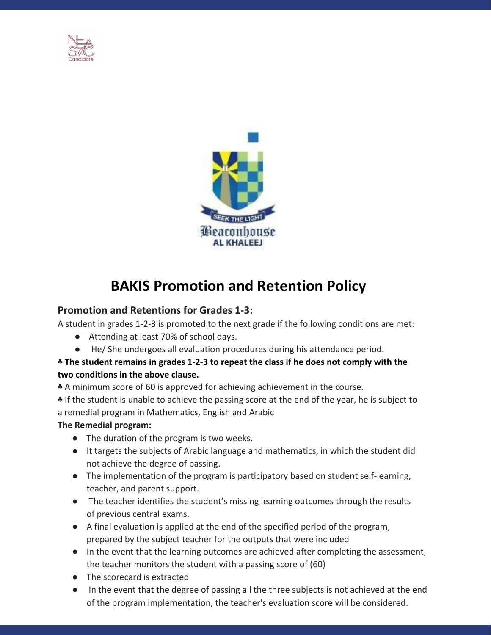



# **BAKIS Promotion and Retention Policy**

# **Promotion and Retentions for Grades 1-3:**

A student in grades 1-2-3 is promoted to the next grade if the following conditions are met:

- Attending at least 70% of school days.
- He/ She undergoes all evaluation procedures during his attendance period.

#### ♣ **The student remains in grades 1-2-3 to repeat the class if he does not comply with the two conditions in the above clause.**

♣ A minimum score of 60 is approved for achieving achievement in the course.

♣ If the student is unable to achieve the passing score at the end of the year, he is subject to a remedial program in Mathematics, English and Arabic

## **The Remedial program:**

- The duration of the program is two weeks.
- It targets the subjects of Arabic language and mathematics, in which the student did not achieve the degree of passing.
- The implementation of the program is participatory based on student self-learning, teacher, and parent support.
- The teacher identifies the student's missing learning outcomes through the results of previous central exams.
- A final evaluation is applied at the end of the specified period of the program, prepared by the subject teacher for the outputs that were included
- In the event that the learning outcomes are achieved after completing the assessment, the teacher monitors the student with a passing score of (60)
- The scorecard is extracted
- In the event that the degree of passing all the three subjects is not achieved at the end of the program implementation, the teacher's evaluation score will be considered.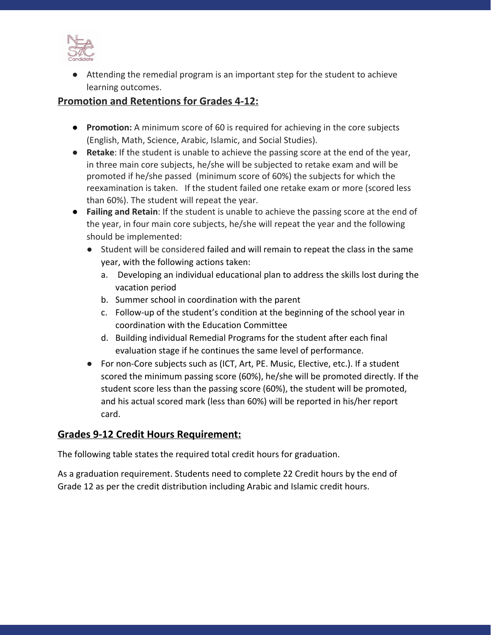

● Attending the remedial program is an important step for the student to achieve learning outcomes.

#### **Promotion and Retentions for Grades 4-12:**

- **Promotion:** A minimum score of 60 is required for achieving in the core subjects (English, Math, Science, Arabic, Islamic, and Social Studies).
- **Retake**: If the student is unable to achieve the passing score at the end of the year, in three main core subjects, he/she will be subjected to retake exam and will be promoted if he/she passed (minimum score of 60%) the subjects for which the reexamination is taken. If the student failed one retake exam or more (scored less than 60%). The student will repeat the year.
- **Failing and Retain**: If the student is unable to achieve the passing score at the end of the year, in four main core subjects, he/she will repeat the year and the following should be implemented:
	- Student will be considered failed and will remain to repeat the class in the same year, with the following actions taken:
		- a. Developing an individual educational plan to address the skills lost during the vacation period
		- b. Summer school in coordination with the parent
		- c. Follow-up of the student's condition at the beginning of the school year in coordination with the Education Committee
		- d. Building individual Remedial Programs for the student after each final evaluation stage if he continues the same level of performance.
	- For non-Core subjects such as (ICT, Art, PE. Music, Elective, etc.). If a student scored the minimum passing score (60%), he/she will be promoted directly. If the student score less than the passing score (60%), the student will be promoted, and his actual scored mark (less than 60%) will be reported in his/her report card.

## **Grades 9-12 Credit Hours Requirement:**

The following table states the required total credit hours for graduation.

As a graduation requirement. Students need to complete 22 Credit hours by the end of Grade 12 as per the credit distribution including Arabic and Islamic credit hours.